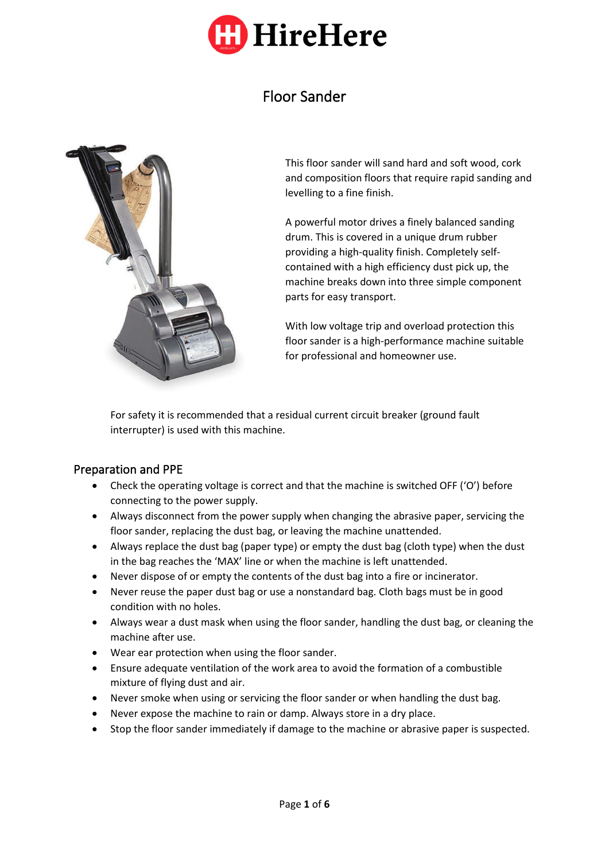

# Floor Sander



This floor sander will sand hard and soft wood, cork and composition floors that require rapid sanding and levelling to a fine finish.

A powerful motor drives a finely balanced sanding drum. This is covered in a unique drum rubber providing a high-quality finish. Completely selfcontained with a high efficiency dust pick up, the machine breaks down into three simple component parts for easy transport.

With low voltage trip and overload protection this floor sander is a high-performance machine suitable for professional and homeowner use.

For safety it is recommended that a residual current circuit breaker (ground fault interrupter) is used with this machine.

## Preparation and PPE

- Check the operating voltage is correct and that the machine is switched OFF ('O') before connecting to the power supply.
- Always disconnect from the power supply when changing the abrasive paper, servicing the floor sander, replacing the dust bag, or leaving the machine unattended.
- Always replace the dust bag (paper type) or empty the dust bag (cloth type) when the dust in the bag reaches the 'MAX' line or when the machine is left unattended.
- Never dispose of or empty the contents of the dust bag into a fire or incinerator.
- Never reuse the paper dust bag or use a nonstandard bag. Cloth bags must be in good condition with no holes.
- Always wear a dust mask when using the floor sander, handling the dust bag, or cleaning the machine after use.
- Wear ear protection when using the floor sander.
- Ensure adequate ventilation of the work area to avoid the formation of a combustible mixture of flying dust and air.
- Never smoke when using or servicing the floor sander or when handling the dust bag.
- Never expose the machine to rain or damp. Always store in a dry place.
- Stop the floor sander immediately if damage to the machine or abrasive paper is suspected.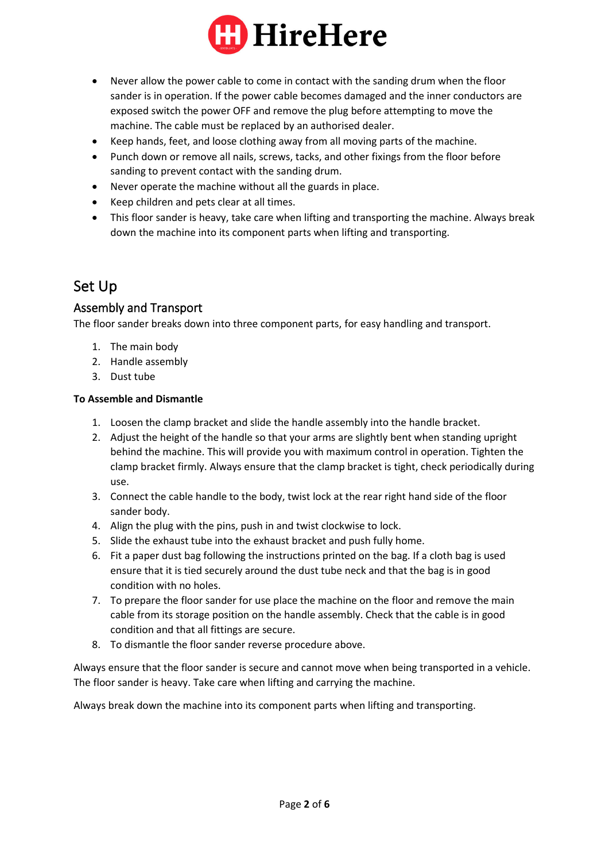

- Never allow the power cable to come in contact with the sanding drum when the floor sander is in operation. If the power cable becomes damaged and the inner conductors are exposed switch the power OFF and remove the plug before attempting to move the machine. The cable must be replaced by an authorised dealer.
- Keep hands, feet, and loose clothing away from all moving parts of the machine.
- Punch down or remove all nails, screws, tacks, and other fixings from the floor before sanding to prevent contact with the sanding drum.
- Never operate the machine without all the guards in place.
- Keep children and pets clear at all times.
- This floor sander is heavy, take care when lifting and transporting the machine. Always break down the machine into its component parts when lifting and transporting.

# Set Up

## Assembly and Transport

The floor sander breaks down into three component parts, for easy handling and transport.

- 1. The main body
- 2. Handle assembly
- 3. Dust tube

#### **To Assemble and Dismantle**

- 1. Loosen the clamp bracket and slide the handle assembly into the handle bracket.
- 2. Adjust the height of the handle so that your arms are slightly bent when standing upright behind the machine. This will provide you with maximum control in operation. Tighten the clamp bracket firmly. Always ensure that the clamp bracket is tight, check periodically during use.
- 3. Connect the cable handle to the body, twist lock at the rear right hand side of the floor sander body.
- 4. Align the plug with the pins, push in and twist clockwise to lock.
- 5. Slide the exhaust tube into the exhaust bracket and push fully home.
- 6. Fit a paper dust bag following the instructions printed on the bag. If a cloth bag is used ensure that it is tied securely around the dust tube neck and that the bag is in good condition with no holes.
- 7. To prepare the floor sander for use place the machine on the floor and remove the main cable from its storage position on the handle assembly. Check that the cable is in good condition and that all fittings are secure.
- 8. To dismantle the floor sander reverse procedure above.

Always ensure that the floor sander is secure and cannot move when being transported in a vehicle. The floor sander is heavy. Take care when lifting and carrying the machine.

Always break down the machine into its component parts when lifting and transporting.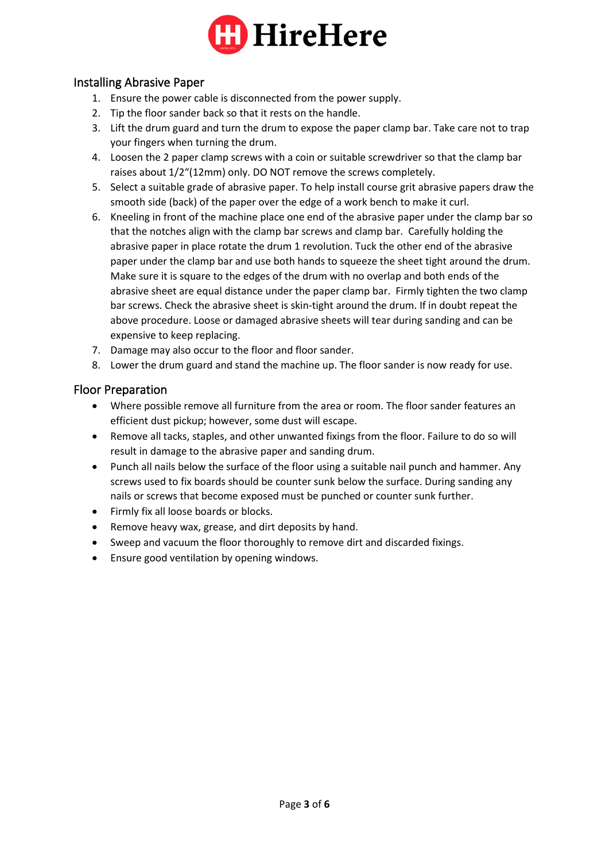

## Installing Abrasive Paper

- 1. Ensure the power cable is disconnected from the power supply.
- 2. Tip the floor sander back so that it rests on the handle.
- 3. Lift the drum guard and turn the drum to expose the paper clamp bar. Take care not to trap your fingers when turning the drum.
- 4. Loosen the 2 paper clamp screws with a coin or suitable screwdriver so that the clamp bar raises about 1/2"(12mm) only. DO NOT remove the screws completely.
- 5. Select a suitable grade of abrasive paper. To help install course grit abrasive papers draw the smooth side (back) of the paper over the edge of a work bench to make it curl.
- 6. Kneeling in front of the machine place one end of the abrasive paper under the clamp bar so that the notches align with the clamp bar screws and clamp bar. Carefully holding the abrasive paper in place rotate the drum 1 revolution. Tuck the other end of the abrasive paper under the clamp bar and use both hands to squeeze the sheet tight around the drum. Make sure it is square to the edges of the drum with no overlap and both ends of the abrasive sheet are equal distance under the paper clamp bar. Firmly tighten the two clamp bar screws. Check the abrasive sheet is skin-tight around the drum. If in doubt repeat the above procedure. Loose or damaged abrasive sheets will tear during sanding and can be expensive to keep replacing.
- 7. Damage may also occur to the floor and floor sander.
- 8. Lower the drum guard and stand the machine up. The floor sander is now ready for use.

# Floor Preparation

- Where possible remove all furniture from the area or room. The floor sander features an efficient dust pickup; however, some dust will escape.
- Remove all tacks, staples, and other unwanted fixings from the floor. Failure to do so will result in damage to the abrasive paper and sanding drum.
- Punch all nails below the surface of the floor using a suitable nail punch and hammer. Any screws used to fix boards should be counter sunk below the surface. During sanding any nails or screws that become exposed must be punched or counter sunk further.
- Firmly fix all loose boards or blocks.
- Remove heavy wax, grease, and dirt deposits by hand.
- Sweep and vacuum the floor thoroughly to remove dirt and discarded fixings.
- Ensure good ventilation by opening windows.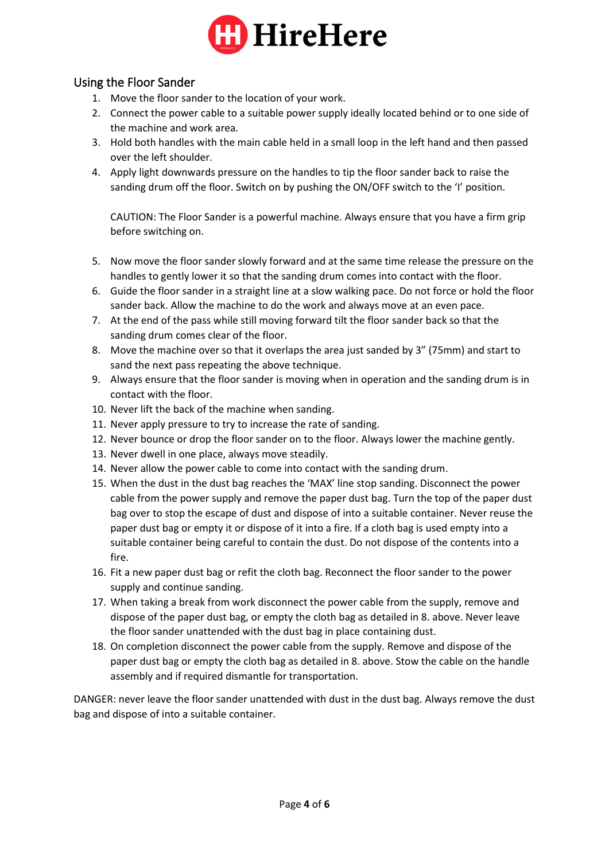

# Using the Floor Sander

- 1. Move the floor sander to the location of your work.
- 2. Connect the power cable to a suitable power supply ideally located behind or to one side of the machine and work area.
- 3. Hold both handles with the main cable held in a small loop in the left hand and then passed over the left shoulder.
- 4. Apply light downwards pressure on the handles to tip the floor sander back to raise the sanding drum off the floor. Switch on by pushing the ON/OFF switch to the 'I' position.

CAUTION: The Floor Sander is a powerful machine. Always ensure that you have a firm grip before switching on.

- 5. Now move the floor sander slowly forward and at the same time release the pressure on the handles to gently lower it so that the sanding drum comes into contact with the floor.
- 6. Guide the floor sander in a straight line at a slow walking pace. Do not force or hold the floor sander back. Allow the machine to do the work and always move at an even pace.
- 7. At the end of the pass while still moving forward tilt the floor sander back so that the sanding drum comes clear of the floor.
- 8. Move the machine over so that it overlaps the area just sanded by 3" (75mm) and start to sand the next pass repeating the above technique.
- 9. Always ensure that the floor sander is moving when in operation and the sanding drum is in contact with the floor.
- 10. Never lift the back of the machine when sanding.
- 11. Never apply pressure to try to increase the rate of sanding.
- 12. Never bounce or drop the floor sander on to the floor. Always lower the machine gently.
- 13. Never dwell in one place, always move steadily.
- 14. Never allow the power cable to come into contact with the sanding drum.
- 15. When the dust in the dust bag reaches the 'MAX' line stop sanding. Disconnect the power cable from the power supply and remove the paper dust bag. Turn the top of the paper dust bag over to stop the escape of dust and dispose of into a suitable container. Never reuse the paper dust bag or empty it or dispose of it into a fire. If a cloth bag is used empty into a suitable container being careful to contain the dust. Do not dispose of the contents into a fire.
- 16. Fit a new paper dust bag or refit the cloth bag. Reconnect the floor sander to the power supply and continue sanding.
- 17. When taking a break from work disconnect the power cable from the supply, remove and dispose of the paper dust bag, or empty the cloth bag as detailed in 8. above. Never leave the floor sander unattended with the dust bag in place containing dust.
- 18. On completion disconnect the power cable from the supply. Remove and dispose of the paper dust bag or empty the cloth bag as detailed in 8. above. Stow the cable on the handle assembly and if required dismantle for transportation.

DANGER: never leave the floor sander unattended with dust in the dust bag. Always remove the dust bag and dispose of into a suitable container.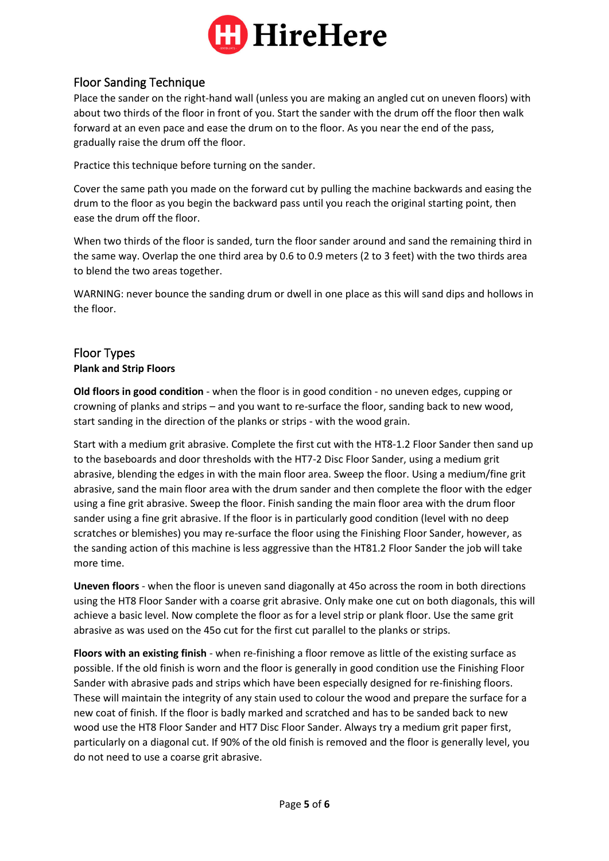

# Floor Sanding Technique

Place the sander on the right-hand wall (unless you are making an angled cut on uneven floors) with about two thirds of the floor in front of you. Start the sander with the drum off the floor then walk forward at an even pace and ease the drum on to the floor. As you near the end of the pass, gradually raise the drum off the floor.

Practice this technique before turning on the sander.

Cover the same path you made on the forward cut by pulling the machine backwards and easing the drum to the floor as you begin the backward pass until you reach the original starting point, then ease the drum off the floor.

When two thirds of the floor is sanded, turn the floor sander around and sand the remaining third in the same way. Overlap the one third area by 0.6 to 0.9 meters (2 to 3 feet) with the two thirds area to blend the two areas together.

WARNING: never bounce the sanding drum or dwell in one place as this will sand dips and hollows in the floor.

## Floor Types **Plank and Strip Floors**

## **Old floors in good condition** - when the floor is in good condition - no uneven edges, cupping or crowning of planks and strips – and you want to re-surface the floor, sanding back to new wood, start sanding in the direction of the planks or strips - with the wood grain.

Start with a medium grit abrasive. Complete the first cut with the HT8-1.2 Floor Sander then sand up to the baseboards and door thresholds with the HT7-2 Disc Floor Sander, using a medium grit abrasive, blending the edges in with the main floor area. Sweep the floor. Using a medium/fine grit abrasive, sand the main floor area with the drum sander and then complete the floor with the edger using a fine grit abrasive. Sweep the floor. Finish sanding the main floor area with the drum floor sander using a fine grit abrasive. If the floor is in particularly good condition (level with no deep scratches or blemishes) you may re-surface the floor using the Finishing Floor Sander, however, as the sanding action of this machine is less aggressive than the HT81.2 Floor Sander the job will take more time.

**Uneven floors** - when the floor is uneven sand diagonally at 45o across the room in both directions using the HT8 Floor Sander with a coarse grit abrasive. Only make one cut on both diagonals, this will achieve a basic level. Now complete the floor as for a level strip or plank floor. Use the same grit abrasive as was used on the 45o cut for the first cut parallel to the planks or strips.

**Floors with an existing finish** - when re-finishing a floor remove as little of the existing surface as possible. If the old finish is worn and the floor is generally in good condition use the Finishing Floor Sander with abrasive pads and strips which have been especially designed for re-finishing floors. These will maintain the integrity of any stain used to colour the wood and prepare the surface for a new coat of finish. If the floor is badly marked and scratched and has to be sanded back to new wood use the HT8 Floor Sander and HT7 Disc Floor Sander. Always try a medium grit paper first, particularly on a diagonal cut. If 90% of the old finish is removed and the floor is generally level, you do not need to use a coarse grit abrasive.